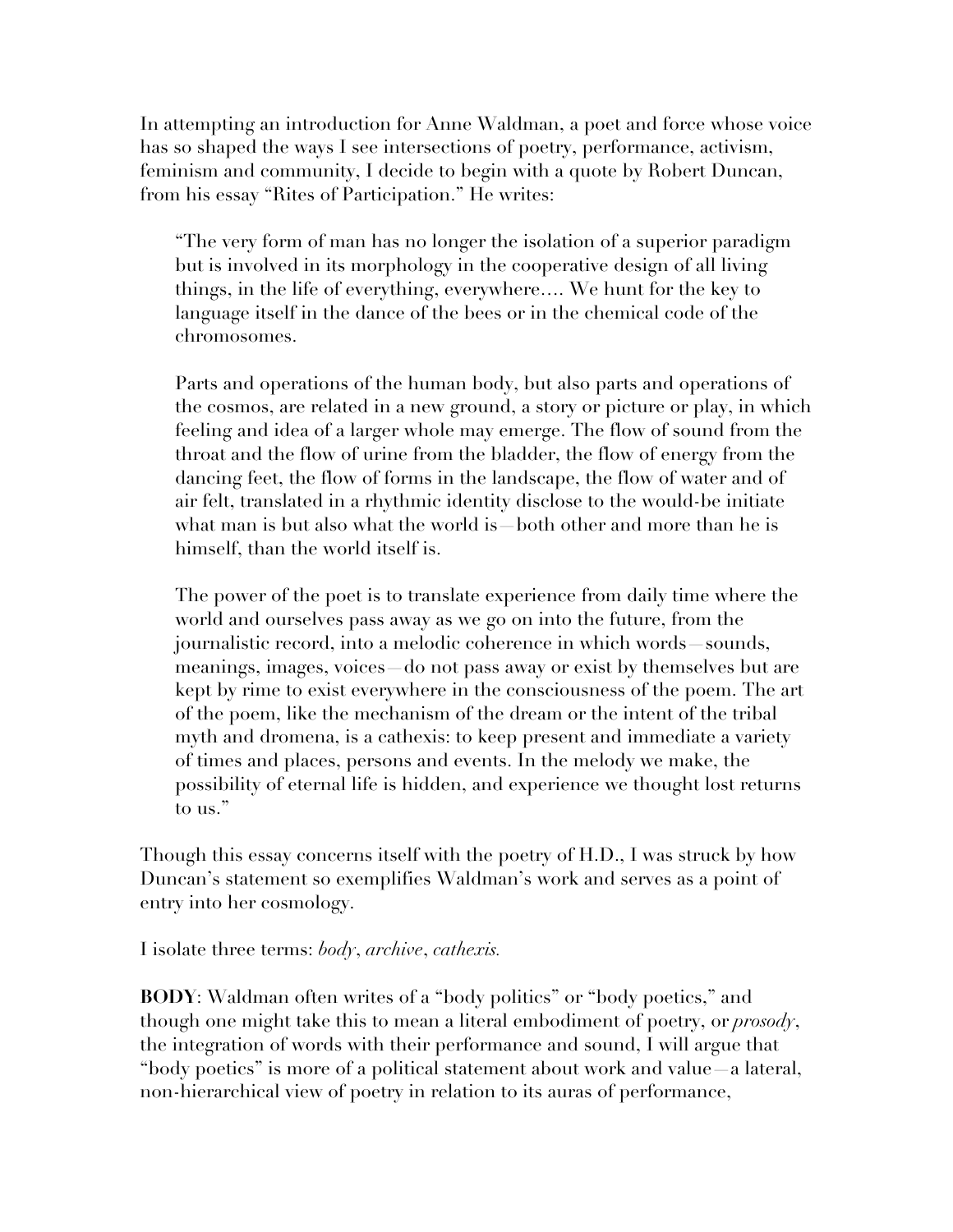In attempting an introduction for Anne Waldman, a poet and force whose voice has so shaped the ways I see intersections of poetry, performance, activism, feminism and community, I decide to begin with a quote by Robert Duncan, from his essay "Rites of Participation." He writes:

"The very form of man has no longer the isolation of a superior paradigm but is involved in its morphology in the cooperative design of all living things, in the life of everything, everywhere…. We hunt for the key to language itself in the dance of the bees or in the chemical code of the chromosomes.

Parts and operations of the human body, but also parts and operations of the cosmos, are related in a new ground, a story or picture or play, in which feeling and idea of a larger whole may emerge. The flow of sound from the throat and the flow of urine from the bladder, the flow of energy from the dancing feet, the flow of forms in the landscape, the flow of water and of air felt, translated in a rhythmic identity disclose to the would-be initiate what man is but also what the world is—both other and more than he is himself, than the world itself is.

The power of the poet is to translate experience from daily time where the world and ourselves pass away as we go on into the future, from the journalistic record, into a melodic coherence in which words—sounds, meanings, images, voices do not pass away or exist by themselves but are kept by rime to exist everywhere in the consciousness of the poem. The art of the poem, like the mechanism of the dream or the intent of the tribal myth and dromena, is a cathexis: to keep present and immediate a variety of times and places, persons and events. In the melody we make, the possibility of eternal life is hidden, and experience we thought lost returns to us."

Though this essay concerns itself with the poetry of H.D., I was struck by how Duncan's statement so exemplifies Waldman's work and serves as a point of entry into her cosmology.

I isolate three terms: *body*, *archive*, *cathexis.*

**BODY**: Waldman often writes of a "body politics" or "body poetics," and though one might take this to mean a literal embodiment of poetry, or *prosody*, the integration of words with their performance and sound, I will argue that "body poetics" is more of a political statement about work and value—a lateral, non-hierarchical view of poetry in relation to its auras of performance,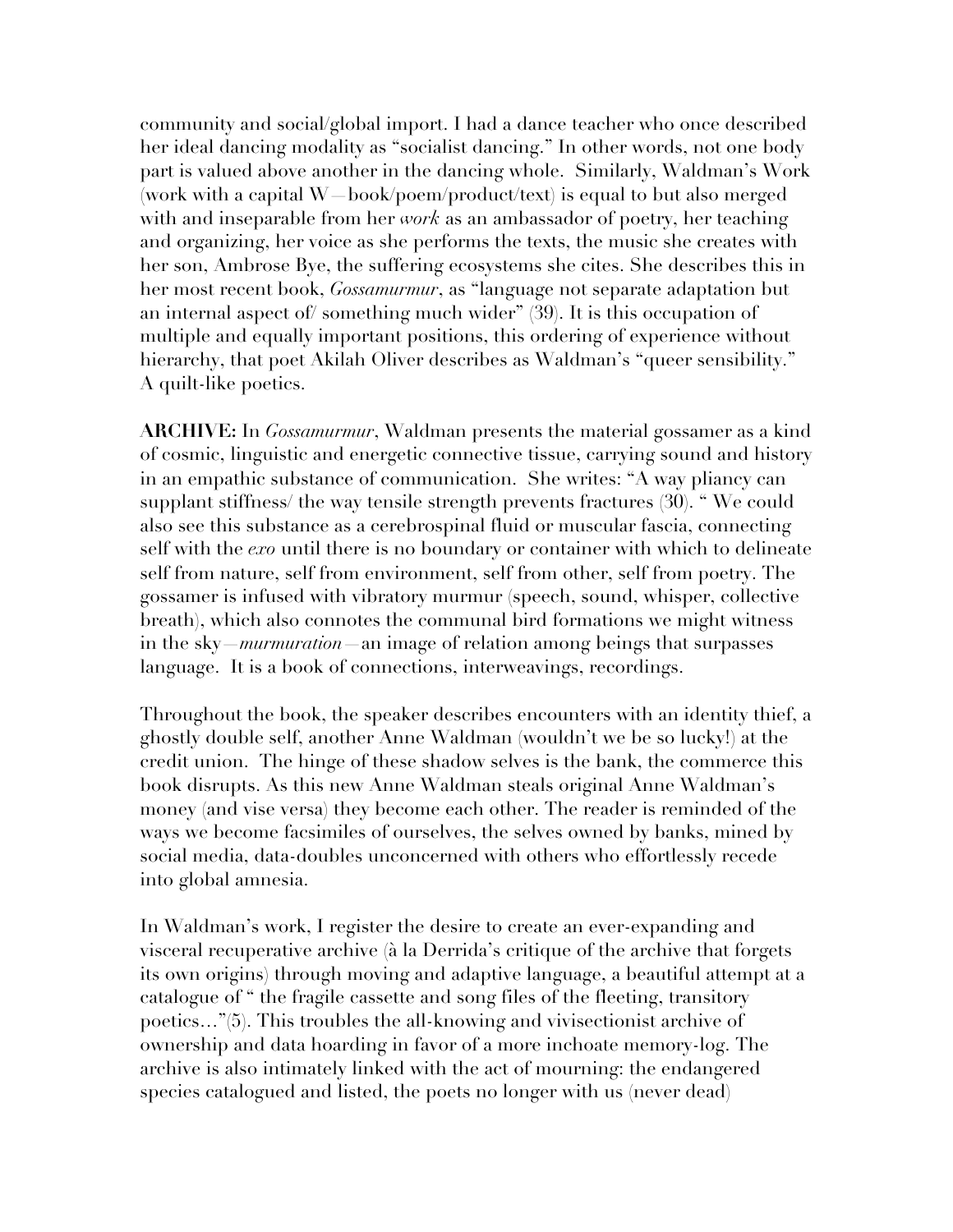community and social/global import. I had a dance teacher who once described her ideal dancing modality as "socialist dancing." In other words, not one body part is valued above another in the dancing whole. Similarly, Waldman's Work (work with a capital W—book/poem/product/text) is equal to but also merged with and inseparable from her *work* as an ambassador of poetry, her teaching and organizing, her voice as she performs the texts, the music she creates with her son, Ambrose Bye, the suffering ecosystems she cites. She describes this in her most recent book, *Gossamurmur*, as "language not separate adaptation but an internal aspect of/ something much wider" (39). It is this occupation of multiple and equally important positions, this ordering of experience without hierarchy, that poet Akilah Oliver describes as Waldman's "queer sensibility." A quilt-like poetics.

**ARCHIVE:** In *Gossamurmur*, Waldman presents the material gossamer as a kind of cosmic, linguistic and energetic connective tissue, carrying sound and history in an empathic substance of communication. She writes: "A way pliancy can supplant stiffness/ the way tensile strength prevents fractures (30). " We could also see this substance as a cerebrospinal fluid or muscular fascia, connecting self with the *exo* until there is no boundary or container with which to delineate self from nature, self from environment, self from other, self from poetry. The gossamer is infused with vibratory murmur (speech, sound, whisper, collective breath), which also connotes the communal bird formations we might witness in the sky—*murmuration*—an image of relation among beings that surpasses language. It is a book of connections, interweavings, recordings.

Throughout the book, the speaker describes encounters with an identity thief, a ghostly double self, another Anne Waldman (wouldn't we be so lucky!) at the credit union. The hinge of these shadow selves is the bank, the commerce this book disrupts. As this new Anne Waldman steals original Anne Waldman's money (and vise versa) they become each other. The reader is reminded of the ways we become facsimiles of ourselves, the selves owned by banks, mined by social media, data-doubles unconcerned with others who effortlessly recede into global amnesia.

In Waldman's work, I register the desire to create an ever-expanding and visceral recuperative archive (à la Derrida's critique of the archive that forgets its own origins) through moving and adaptive language, a beautiful attempt at a catalogue of " the fragile cassette and song files of the fleeting, transitory poetics…"(5). This troubles the all-knowing and vivisectionist archive of ownership and data hoarding in favor of a more inchoate memory-log. The archive is also intimately linked with the act of mourning: the endangered species catalogued and listed, the poets no longer with us (never dead)